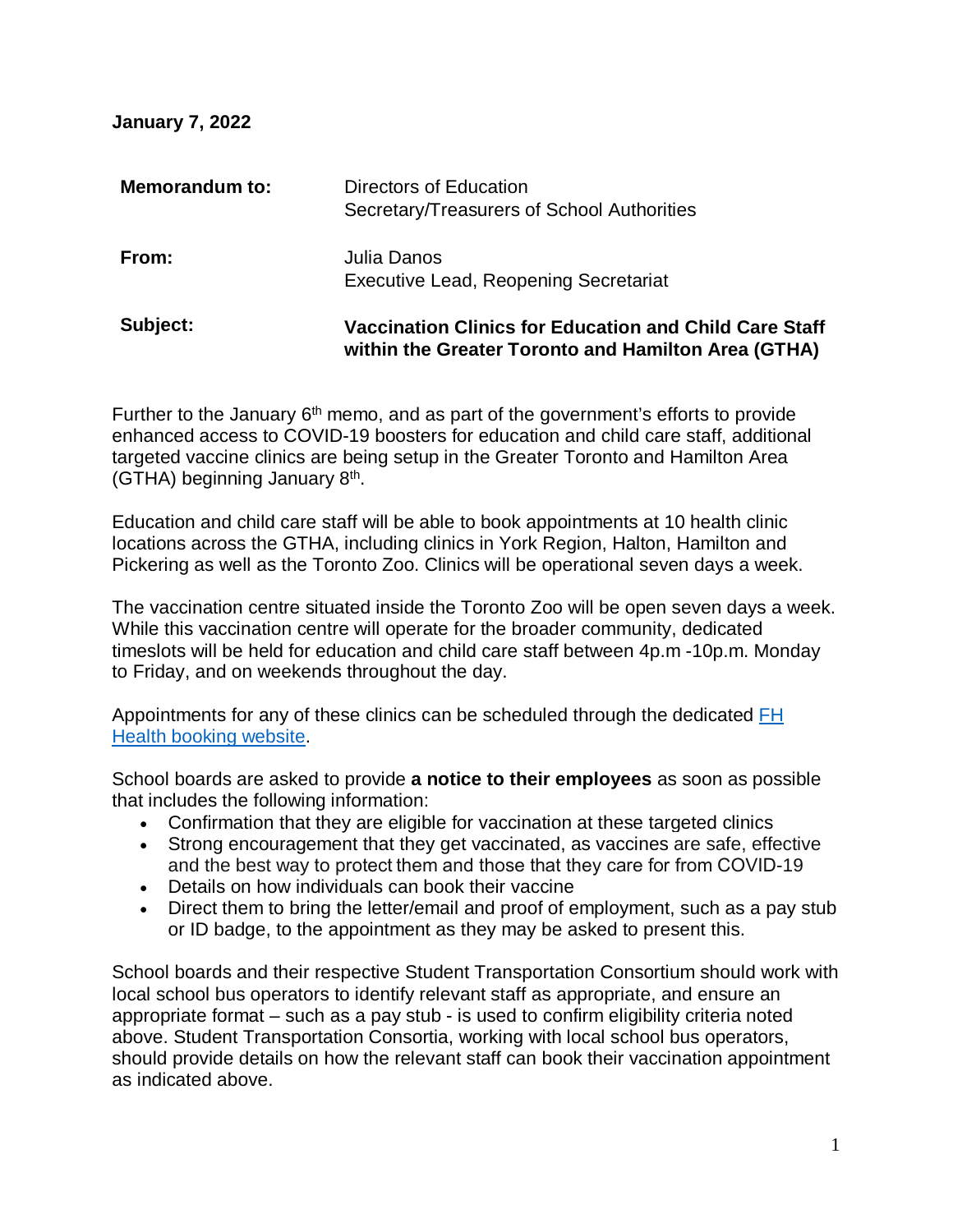**January 7, 2022** 

| Subject:              | Vaccination Clinics for Education and Child Care Staff<br>within the Greater Toronto and Hamilton Area (GTHA) |
|-----------------------|---------------------------------------------------------------------------------------------------------------|
| From:                 | Julia Danos<br><b>Executive Lead, Reopening Secretariat</b>                                                   |
| <b>Memorandum to:</b> | Directors of Education<br>Secretary/Treasurers of School Authorities                                          |

Further to the January  $6<sup>th</sup>$  memo, and as part of the government's efforts to provide enhanced access to COVID-19 boosters for education and child care staff, additional targeted vaccine clinics are being setup in the Greater Toronto and Hamilton Area (GTHA) beginning January  $8<sup>th</sup>$ .

Education and child care staff will be able to book appointments at 10 health clinic locations across the GTHA, including clinics in York Region, Halton, Hamilton and Pickering as well as the Toronto Zoo. Clinics will be operational seven days a week.

The vaccination centre situated inside the Toronto Zoo will be open seven days a week. While this vaccination centre will operate for the broader community, dedicated timeslots will be held for education and child care staff between 4p.m -10p.m. Monday to Friday, and on weekends throughout the day.

Appointments for any of these clinics can be scheduled through the dedicated FH [Health booking website.](https://www.fhvax.com/)

School boards are asked to provide **a notice to their employees** as soon as possible that includes the following information:

- Confirmation that they are eligible for vaccination at these targeted clinics
- Strong encouragement that they get vaccinated, as vaccines are safe, effective and the best way to protect them and those that they care for from COVID-19
- Details on how individuals can book their vaccine
- Direct them to bring the letter/email and proof of employment, such as a pay stub or ID badge, to the appointment as they may be asked to present this.

School boards and their respective Student Transportation Consortium should work with local school bus operators to identify relevant staff as appropriate, and ensure an appropriate format – such as a pay stub - is used to confirm eligibility criteria noted above. Student Transportation Consortia, working with local school bus operators, should provide details on how the relevant staff can book their vaccination appointment as indicated above.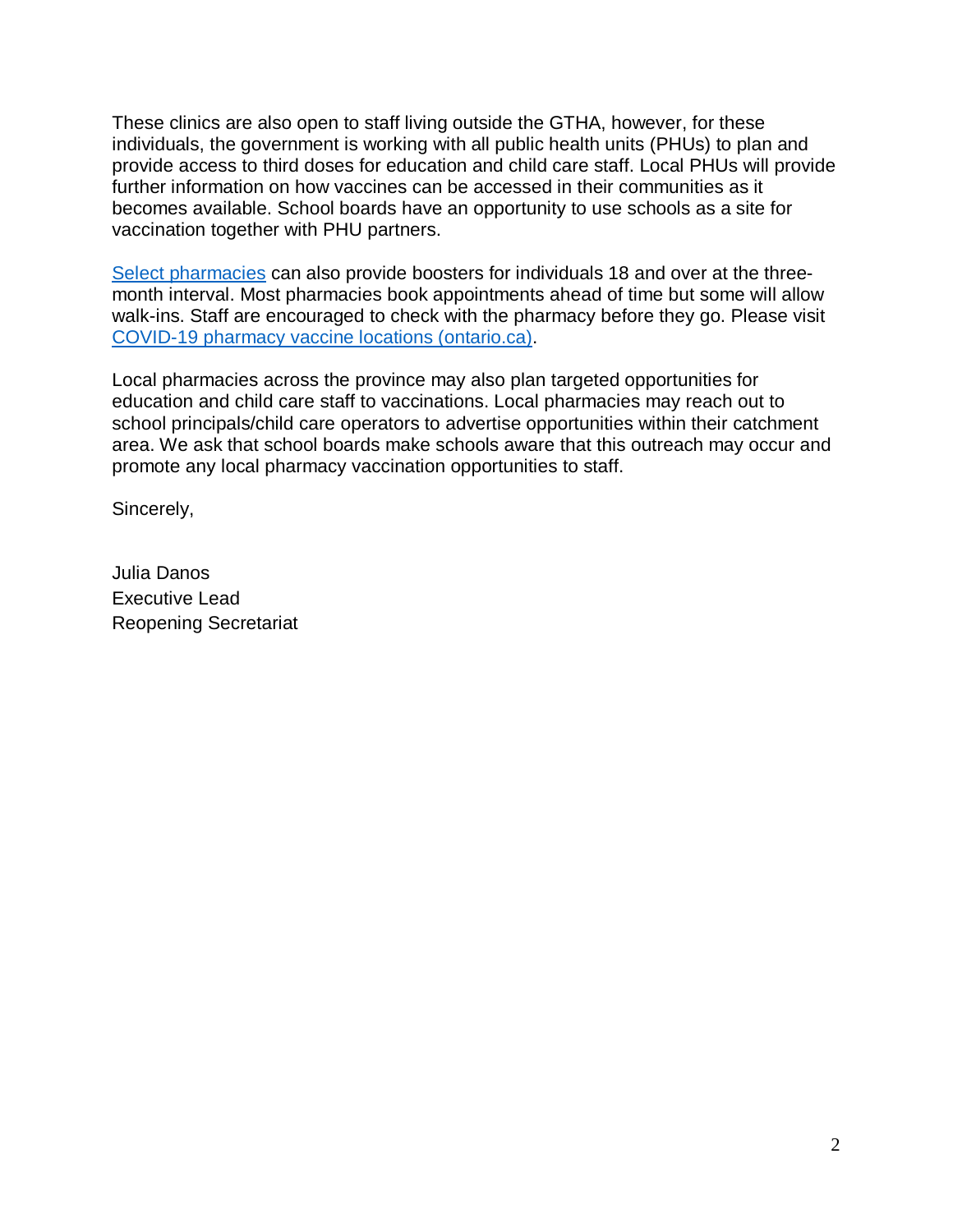These clinics are also open to staff living outside the GTHA, however, for these individuals, the government is working with all public health units (PHUs) to plan and provide access to third doses for education and child care staff. Local PHUs will provide further information on how vaccines can be accessed in their communities as it becomes available. School boards have an opportunity to use schools as a site for vaccination together with PHU partners.

[Select pharmacies](https://covid-19.ontario.ca/vaccine-locations) can also provide boosters for individuals 18 and over at the threemonth interval. Most pharmacies book appointments ahead of time but some will allow walk-ins. Staff are encouraged to check with the pharmacy before they go. Please visit [COVID-19 pharmacy vaccine locations \(ontario.ca\).](https://covid-19.ontario.ca/vaccine-locations/pfizer)

Local pharmacies across the province may also plan targeted opportunities for education and child care staff to vaccinations. Local pharmacies may reach out to school principals/child care operators to advertise opportunities within their catchment area. We ask that school boards make schools aware that this outreach may occur and promote any local pharmacy vaccination opportunities to staff.

Sincerely,

Julia Danos Executive Lead Reopening Secretariat